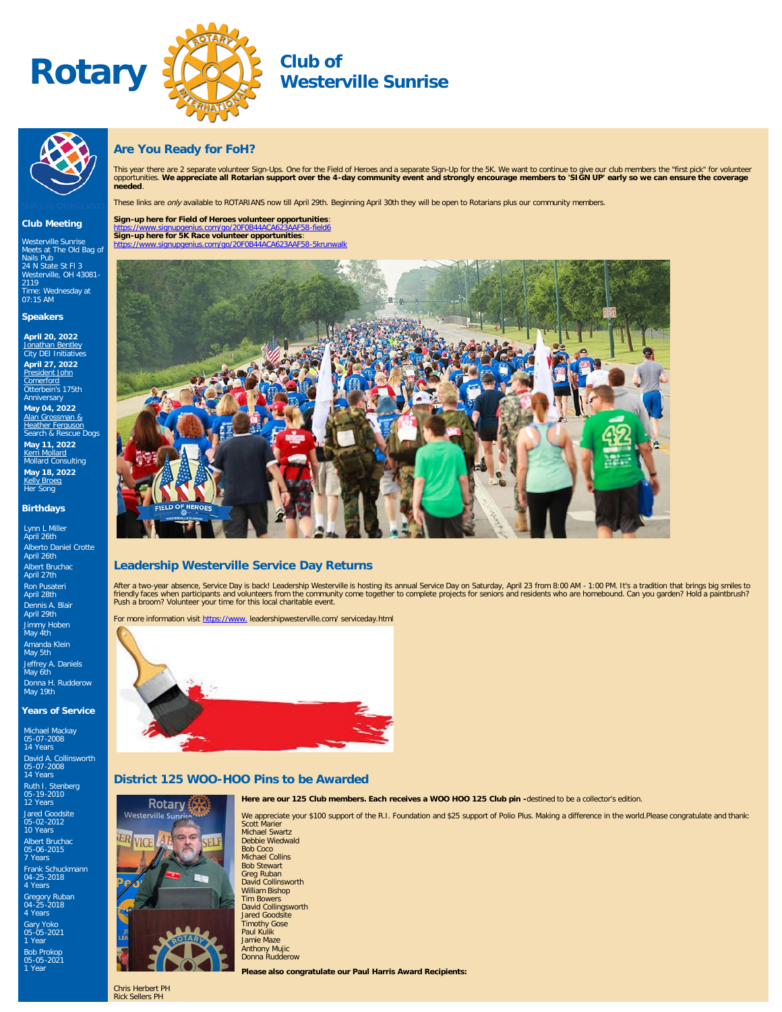



# **Westerville Sunrise**



# **Are You Ready for FoH?**

This year there are 2 separate volunteer Sign-Ups. One for the Field of Heroes and a separate Sign-Up for the 5K. We want to continue to give our club members the "first pick" for volunteer<br>opportunities. **We appreciate al** 

These links are only available to ROTARIANS now till April 29th. Beginning April 30th they will be open to Rotarians plus our community members.

# **Sign-up here for Field of Heroes volunteer opportunities**:

<https://www.signupgenius.com/go/20F0B44ACA623AAF58-field6> **Sign-up here for 5K Race volunteer opportunities**: https://www.signupgenius.com/go/20F0B44ACA623AAF58-

Westerville Sunrise .<br>Meets at The Old Bag of<br>Nails Pub Nails Pub [24 N State St Fl 3](http://maps.google.com/maps?q=40.126520000,-82.931820000) [Westerville, OH 43081-](http://maps.google.com/maps?q=40.126520000,-82.931820000) [2119](http://maps.google.com/maps?q=40.126520000,-82.931820000) Time: Wednesday at 07:15 AM

**Club Meeting**

# **Speakers**

**April 20, 2022** [Jonathan Bentley](https://ismyrotaryclub.com/wp_api_prod_1-1/R_Event.cfm?fixTables=0&fixImages=0&EventID=77585227) City DEI Initiatives **April 27, 2022** [President John](https://ismyrotaryclub.com/wp_api_prod_1-1/R_Event.cfm?fixTables=0&fixImages=0&EventID=77585228)

[Comerford](https://ismyrotaryclub.com/wp_api_prod_1-1/R_Event.cfm?fixTables=0&fixImages=0&EventID=77585228)<br>Otterbein's 175th Anniversary **May 04, 2022** [Alan Grossman &](https://ismyrotaryclub.com/wp_api_prod_1-1/R_Event.cfm?fixTables=0&fixImages=0&EventID=77585229) [Heather Ferguson](https://ismyrotaryclub.com/wp_api_prod_1-1/R_Event.cfm?fixTables=0&fixImages=0&EventID=77585229)

arch & Rescue Dogs **May 11, 2022** <u>[Kerri Mollard](https://ismyrotaryclub.com/wp_api_prod_1-1/R_Event.cfm?fixTables=0&fixImages=0&EventID=77585230)</u><br>Mollard Consulting

**May 18, 2022** [Kelly Broeg](https://ismyrotaryclub.com/wp_api_prod_1-1/R_Event.cfm?fixTables=0&fixImages=0&EventID=77585231)<br>Her Song

### **Birthdays**

Lynn L Miller April 26th Alberto Daniel Crotte April 26th Albert Bruchac April 27th Ron Pusateri April 28th Dennis A. Blair April 29th Jimmy Hoben May 4th Amanda Klein May 5th Jeffrey A. Daniels May 6th Donna H. Rudderow May 19th

### **Years of Service**

Michael Mackay 05-07-2008 14 Years David A. Collinsworth 05-07-2008 14 Years Ruth I. Stenberg 05-19-2010 12 Years Jared Goodsite 05-02-2012 10 Years Albert Bruchac 05-06-2015 7 Years Frank Schuckmann 04-25-2018 4 Years Gregory Ruban 04-25-2018 4 Years Gary Yoko 05-05-2021 1 Year Bob Prokop 05-05-2021 1 Year



# **Leadership Westerville Service Day Returns**

After a two-year absence, Service Day is back! Leadership Westerville is hosting its annual Service Day on Saturday, April 23 from 8:00 AM - 1:00 PM. It's a tradition that brings big smiles to<br>friendly faces when participa

For more information visit [https://www.](https://www.leadershipwesterville.com/serviceday.html) leadershipwesterville.com/ serviceday.html



# **District 125 WOO-HOO Pins to be Awarded**



**Here are our 125 Club members. Each receives a WOO HOO 125 Club pin -**destined to be a collector's edition.

We appreciate your \$100 support of the R.I. Foundation and \$25 support of Polio Plus. Making a difference in the world.Please congratulate and thank:

Scott Marier Michael Swartz Debbie Wiedwald Bob Coco Michael Collins Bob Stewart Greg Ruban David Collinsworth William Bishop Tim Bowers David Collingsworth Jared Goodsite Timothy Gose Paul Kulik Jamie Maze Anthony Mujic Donna Rudderow

**Please also congratulate our Paul Harris Award Recipients:**

Chris Herbert PH Rick Sellers PH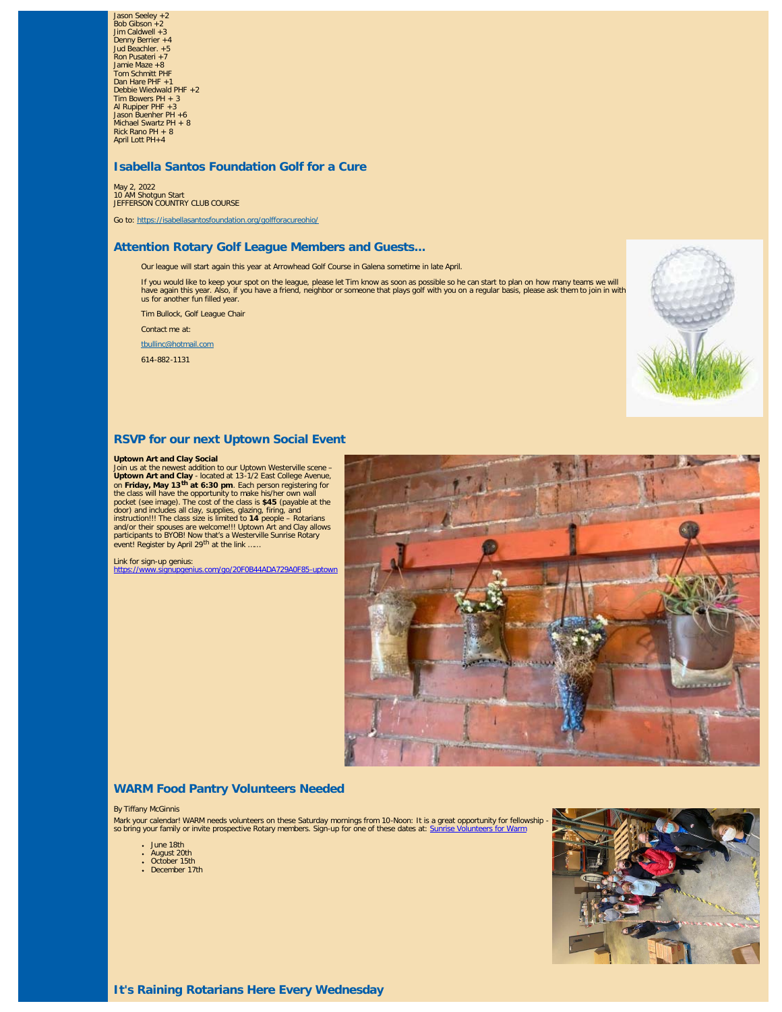Jason Seeley +2 Bob Gibson +2 Jim Caldwell +3 Denny Berrier +4 Jud Beachler. +5 Ron Pusateri +7 Jamie Maze +8 Tom Schmitt PHF Dan Hare PHF +1 Debbie Wiedwald PHF +2 Tim Bowers PH + 3 Al Rupiper PHF +3 Jason Buenher PH +6 Michael Swartz PH + 8 Rick Rano PH + 8 April Lott PH+4

# **Isabella Santos Foundation Golf for a Cure**

May 2, 2022 10 AM Shotgun Start JEFFERSON COUNTRY CLUB COURSE

Go to:<https://isabellasantosfoundation.org/golfforacureohio/>

# **Attention Rotary Golf League Members and Guests...**

Our league will start again this year at Arrowhead Golf Course in Galena sometime in late April.

If you would like to keep your spot on the league, please let Tim know as soon as possible so he can start to plan on how many teams we will<br>have again this year. Also, if you have a friend, neighbor or someone that plays

Tim Bullock, Golf League Chair

Contact me at:

[tbullinc@hotmail.com](mailto:tbullinc@hotmail.com)

614-882-1131



# **RSVP for our next Uptown Social Event**

### **Uptown Art and Clay Social**

Join us at the newest addition to our Uptown Westerville scene – **Uptown Art and Clay** - located at 13-1/2 East College Avenue, on **Friday, May 13th at 6:30 pm**. Each person registering for the class will have the opportunity to make his/her own wall<br>pocket (see image). The cost of the class is \$45 (payable at the<br>door) and includes all clay, supplies, glazing, firing, and<br>instruction!!! The class size is lim event! Register by April 29<sup>th</sup> at the link.

Link for sign-up genius: <https://www.signupgenius.com/go/20F0B44ADA729A0F85-uptown>



### **WARM Food Pantry Volunteers Needed**

### By Tiffany McGinnis

Mark your calendar! WARM needs volunteers on these Saturday mornings from 10-Noon: It is a great opportunity for fellowship so bring your family or invite prospective Rotary members. Sign-up for one of these dates at: [Sunrise Volunteers for Warm](https://www.signupgenius.com/go/20f0b44ada729a0f85-warm1)

- June 18th
- August 20th October 15th
- December 17th
- 

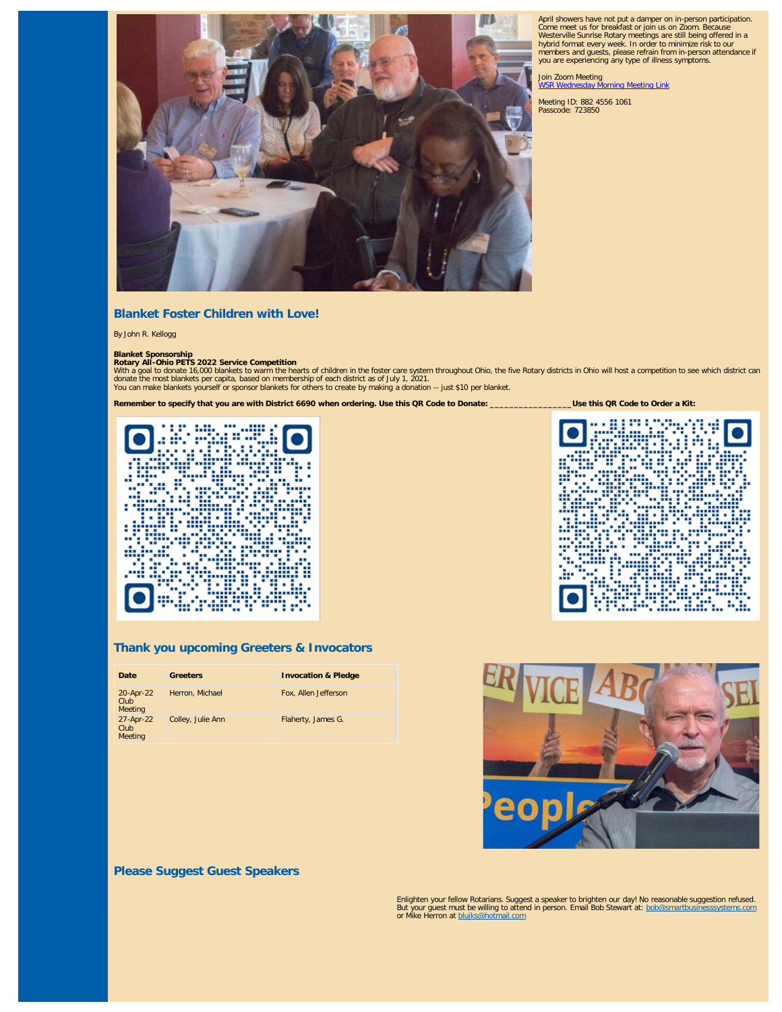

# April showers have not put a damper on in-person participation. Come meet us for breakfast or join us on Zoom. Because Westerville Sunrise Rotary meetings are still being offered in a hybrid format every week. In order to minimize risk to our members and guests, please refrain from in-person attendance if you are experiencing any type of illness symptoms.

Join Zoom Meeting<br><u>[WSR Wednesday Morning Meeting Link](https://us02web.zoom.us/j/88245561061?pwd=aFdBczRGVE1yVng5dVNMMTJBOG0zdz09)</u>

Meeting ID: 882 4556 1061 Passcode: 723850

# **Blanket Foster Children with Love!**

By John R. Kellogg

# **Blanket Sponsorship Rotary All-Ohio PETS 2022 Service Competition**

With a goal to donate 16,000 blankets to warm the hearts of children in the foster care system throughout Ohio, the five Rotary districts in Ohio will host a competition to see which district can<br>donate the most blankets p You can make blankets yourself or sponsor blankets for others to create by making a donation -- just \$10 per blanket.



# **Thank you upcoming Greeters & Invocators**

| Date                         | <b>Greeters</b>   | <b>Invocation &amp; Pledge</b> |
|------------------------------|-------------------|--------------------------------|
| 20-Apr-22<br>Club<br>Meeting | Herron, Michael   | Fox, Allen Jefferson           |
| 27-Apr-22<br>Club<br>Meeting | Colley, Julie Ann | Flaherty, James G.             |





**Please Suggest Guest Speakers**

Enlighten your fellow Rotarians. Suggest a speaker to brighten our day! No reasonable suggestion refused. But your guest must be willing to attend in person. Email Bob Stewart at: [bob@smartbusinesssystems.com](mailto:bob@smartbusinesssystems.com) or Mike Herron at [blujks@hotmail.com](mailto:blujks@hotmail.com)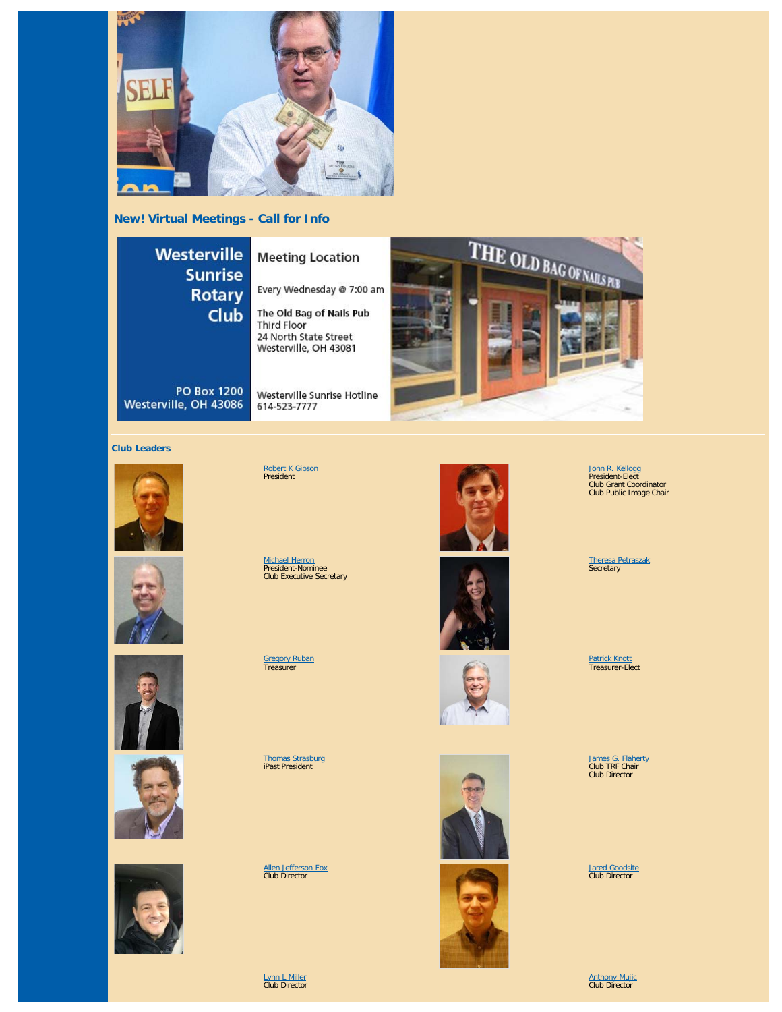

**New! Virtual Meetings - Call for Info**

# **Westerville Sunrise Rotary Club**

**Meeting Location** 

Every Wednesday @ 7:00 am

The Old Bag of Nails Pub Third Floor 24 North State Street Westerville, OH 43081

Westerville Sunrise Hotline

**PO Box 1200** Westerville, OH 43086



## **Club Leaders**











<u>[Robert K Gibson](https://www.ismyrotaryclub.org/EMailer.cfm?ID=800286578)</u><br>President

614-523-7777

<u>[Michael Herron](https://www.ismyrotaryclub.org/EMailer.cfm?ID=800353675)</u><br>President-Nominee<br>Club Executive Secretary

<u>[Gregory Ruban](https://www.ismyrotaryclub.org/EMailer.cfm?ID=800685848)</u><br>Treasurer

[Thomas Strasburg](https://www.ismyrotaryclub.org/EMailer.cfm?ID=800257944) iPast President

[Allen Jefferson Fox](https://www.ismyrotaryclub.org/EMailer.cfm?ID=800513700) Club Director

[Lynn L Miller](https://www.ismyrotaryclub.org/EMailer.cfm?ID=800674440) Club Director











[John R. Kellogg](https://www.ismyrotaryclub.org/EMailer.cfm?ID=800415917) President-Elect Club Grant Coordinator Club Public Image Chair

[Theresa Petraszak](https://www.ismyrotaryclub.org/EMailer.cfm?ID=800751205) Secretary

<u>[Patrick Knott](https://www.ismyrotaryclub.org/EMailer.cfm?ID=800122618)</u><br>Treasurer-Elect

[James G. Flaherty](https://www.ismyrotaryclub.org/EMailer.cfm?ID=800122622) Club TRF Chair Club Director

[Jared Goodsite](https://www.ismyrotaryclub.org/EMailer.cfm?ID=800300254) Club Director

[Anthony Mujic](https://www.ismyrotaryclub.org/EMailer.cfm?ID=800622712) Club Director